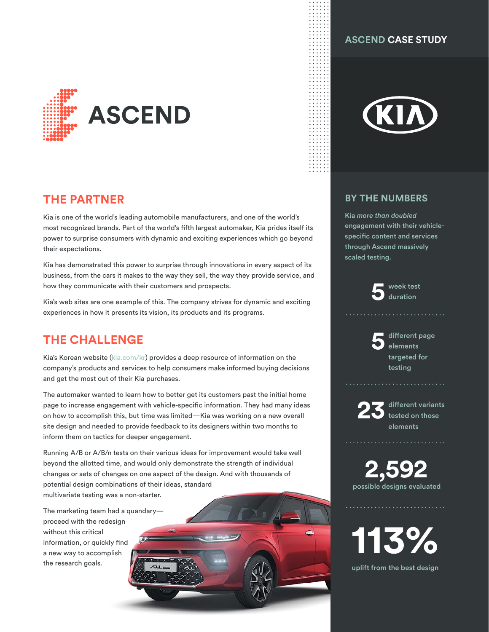

## **THE PARTNER**

Kia is one of the world's leading automobile manufacturers, and one of the world's most recognized brands. Part of the world's fifth largest automaker, Kia prides itself its power to surprise consumers with dynamic and exciting experiences which go beyond their expectations.

Kia has demonstrated this power to surprise through innovations in every aspect of its business, from the cars it makes to the way they sell, the way they provide service, and how they communicate with their customers and prospects.

Kia's web sites are one example of this. The company strives for dynamic and exciting experiences in how it presents its vision, its products and its programs.

# **THE CHALLENGE**

Kia's Korean website ([kia.com/kr](https://www.kia.com/kr)) provides a deep resource of information on the company's products and services to help consumers make informed buying decisions and get the most out of their Kia purchases.

The automaker wanted to learn how to better get its customers past the initial home page to increase engagement with vehicle-specific information. They had many ideas on how to accomplish this, but time was limited—Kia was working on a new overall site design and needed to provide feedback to its designers within two months to inform them on tactics for deeper engagement.

Running A/B or A/B/n tests on their various ideas for improvement would take well beyond the allotted time, and would only demonstrate the strength of individual changes or sets of changes on one aspect of the design. And with thousands of potential design combinations of their ideas, standard multivariate testing was a non-starter.

**1**

The marketing team had a quandary proceed with the redesign without this critical information, or quickly find a new way to accomplish the research goals.

### **ASCEND CASE STUDY**



#### **BY THE NUMBERS**

Kia *more than doubled* engagement with their vehiclespecific content and services through Ascend massively scaled testing.

**5** week test

**5** different page elements targeted for testing



**23** different variants tested on those elements

**2,592** possible designs evaluated

**113%**

uplift from the best design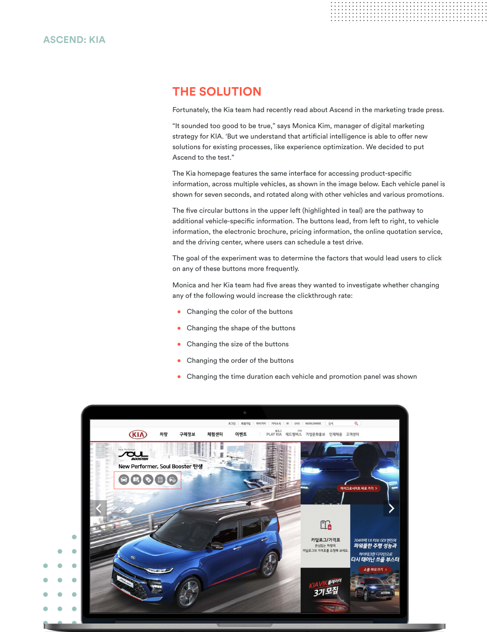# **THE SOLUTION**

Fortunately, the Kia team had recently read about Ascend in the marketing trade press.

"It sounded too good to be true," says Monica Kim, manager of digital marketing strategy for KIA. 'But we understand that artificial intelligence is able to offer new solutions for existing processes, like experience optimization. We decided to put Ascend to the test."

The Kia homepage features the same interface for accessing product-specific information, across multiple vehicles, as shown in the image below. Each vehicle panel is shown for seven seconds, and rotated along with other vehicles and various promotions.

The five circular buttons in the upper left (highlighted in teal) are the pathway to additional vehicle-specific information. The buttons lead, from left to right, to vehicle information, the electronic brochure, pricing information, the online quotation service, and the driving center, where users can schedule a test drive.

The goal of the experiment was to determine the factors that would lead users to click on any of these buttons more frequently.

Monica and her Kia team had five areas they wanted to investigate whether changing any of the following would increase the clickthrough rate:

- **•** Changing the color of the buttons
- **•** Changing the shape of the buttons
- **•** Changing the size of the buttons
- **•** Changing the order of the buttons
- **•** Changing the time duration each vehicle and promotion panel was shown

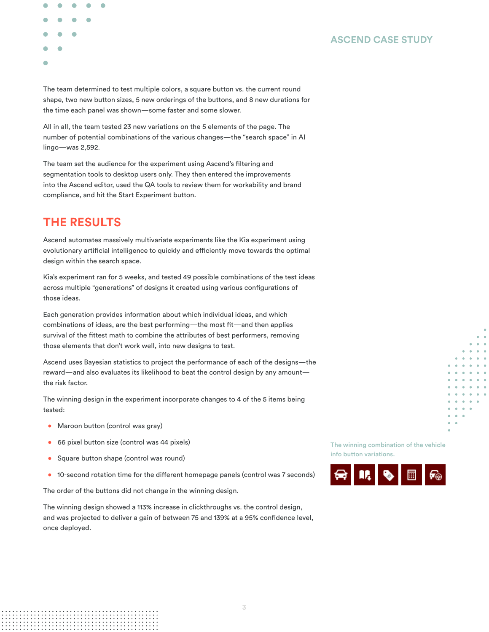

The team determined to test multiple colors, a square button vs. the current round shape, two new button sizes, 5 new orderings of the buttons, and 8 new durations for the time each panel was shown—some faster and some slower.

All in all, the team tested 23 new variations on the 5 elements of the page. The number of potential combinations of the various changes—the "search space" in AI lingo—was 2,592.

The team set the audience for the experiment using Ascend's filtering and segmentation tools to desktop users only. They then entered the improvements into the Ascend editor, used the QA tools to review them for workability and brand compliance, and hit the Start Experiment button.

## **THE RESULTS**

Ascend automates massively multivariate experiments like the Kia experiment using evolutionary artificial intelligence to quickly and efficiently move towards the optimal design within the search space.

Kia's experiment ran for 5 weeks, and tested 49 possible combinations of the test ideas across multiple "generations" of designs it created using various configurations of those ideas.

Each generation provides information about which individual ideas, and which combinations of ideas, are the best performing—the most fit—and then applies survival of the fittest math to combine the attributes of best performers, removing those elements that don't work well, into new designs to test.

Ascend uses Bayesian statistics to project the performance of each of the designs—the reward—and also evaluates its likelihood to beat the control design by any amount the risk factor.

The winning design in the experiment incorporate changes to 4 of the 5 items being tested:

- **•** Maroon button (control was gray)
- **•** 66 pixel button size (control was 44 pixels)
- **•** Square button shape (control was round)
- **•** 10-second rotation time for the different homepage panels (control was 7 seconds)

The order of the buttons did not change in the winning design.

The winning design showed a 113% increase in clickthroughs vs. the control design, and was projected to deliver a gain of between 75 and 139% at a 95% confidence level, once deployed.

The winning combination of the vehicle info button variations.

**ASCEND CASE STUDY**



**3**